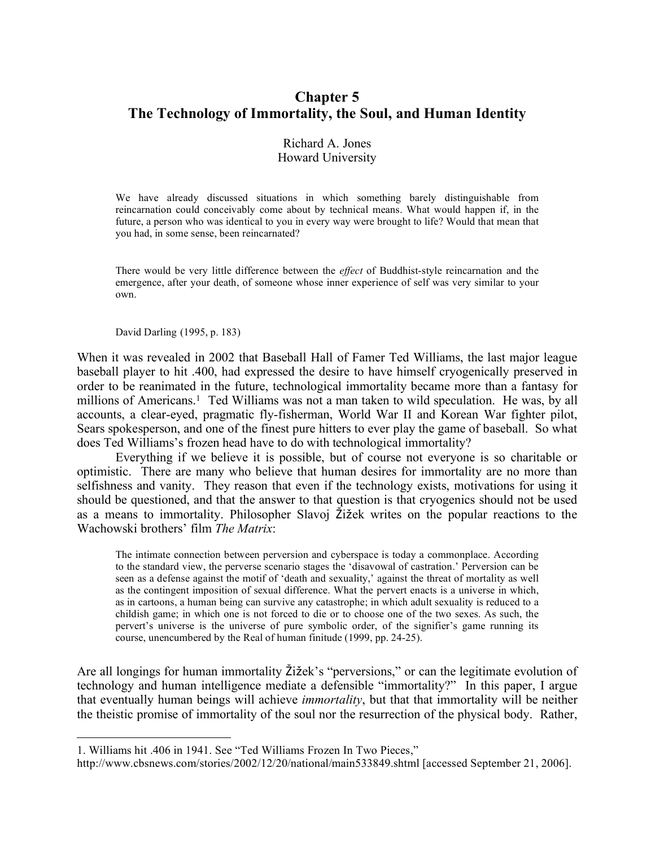# **Chapter 5 The Technology of Immortality, the Soul, and Human Identity**

## Richard A. Jones Howard University

We have already discussed situations in which something barely distinguishable from reincarnation could conceivably come about by technical means. What would happen if, in the future, a person who was identical to you in every way were brought to life? Would that mean that you had, in some sense, been reincarnated?

There would be very little difference between the *effect* of Buddhist-style reincarnation and the emergence, after your death, of someone whose inner experience of self was very similar to your own.

David Darling (1995, p. 183)

When it was revealed in 2002 that Baseball Hall of Famer Ted Williams, the last major league baseball player to hit .400, had expressed the desire to have himself cryogenically preserved in order to be reanimated in the future, technological immortality became more than a fantasy for millions of Americans.<sup>1</sup> Ted Williams was not a man taken to wild speculation. He was, by all accounts, a clear-eyed, pragmatic fly-fisherman, World War II and Korean War fighter pilot, Sears spokesperson, and one of the finest pure hitters to ever play the game of baseball. So what does Ted Williams's frozen head have to do with technological immortality?

Everything if we believe it is possible, but of course not everyone is so charitable or optimistic. There are many who believe that human desires for immortality are no more than selfishness and vanity. They reason that even if the technology exists, motivations for using it should be questioned, and that the answer to that question is that cryogenics should not be used as a means to immortality. Philosopher Slavoj Žižek writes on the popular reactions to the Wachowski brothers' film *The Matrix*:

The intimate connection between perversion and cyberspace is today a commonplace. According to the standard view, the perverse scenario stages the 'disavowal of castration.' Perversion can be seen as a defense against the motif of 'death and sexuality,' against the threat of mortality as well as the contingent imposition of sexual difference. What the pervert enacts is a universe in which, as in cartoons, a human being can survive any catastrophe; in which adult sexuality is reduced to a childish game; in which one is not forced to die or to choose one of the two sexes. As such, the pervert's universe is the universe of pure symbolic order, of the signifier's game running its course, unencumbered by the Real of human finitude (1999, pp. 24-25).

Are all longings for human immortality Žižek's "perversions," or can the legitimate evolution of technology and human intelligence mediate a defensible "immortality?" In this paper, I argue that eventually human beings will achieve *immortality*, but that that immortality will be neither the theistic promise of immortality of the soul nor the resurrection of the physical body. Rather,

<sup>1.</sup> Williams hit .406 in 1941. See "Ted Williams Frozen In Two Pieces,"

http://www.cbsnews.com/stories/2002/12/20/national/main533849.shtml [accessed September 21, 2006].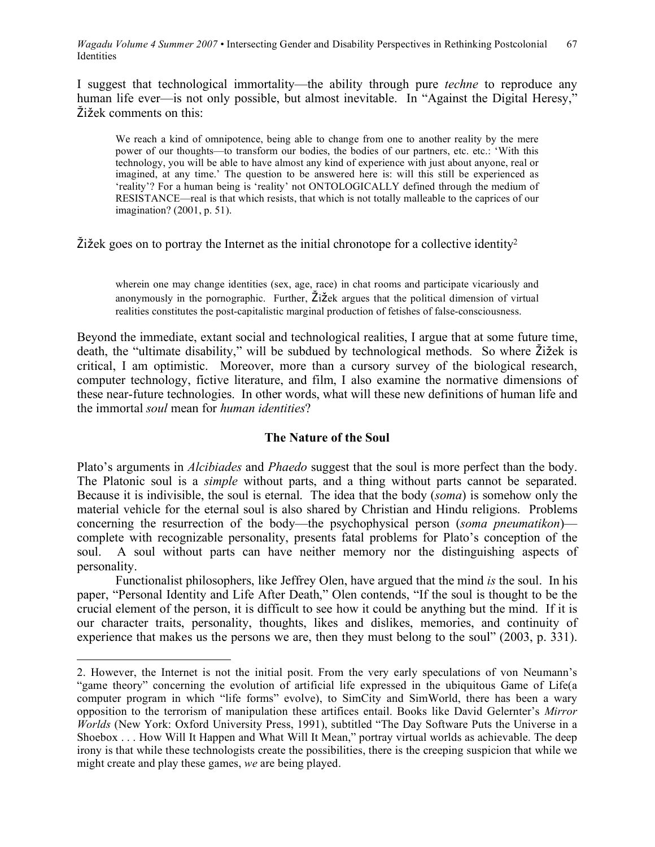I suggest that technological immortality—the ability through pure *techne* to reproduce any human life ever—is not only possible, but almost inevitable. In "Against the Digital Heresy," Žižek comments on this:

We reach a kind of omnipotence, being able to change from one to another reality by the mere power of our thoughts—to transform our bodies, the bodies of our partners, etc. etc.: 'With this technology, you will be able to have almost any kind of experience with just about anyone, real or imagined, at any time.' The question to be answered here is: will this still be experienced as 'reality'? For a human being is 'reality' not ONTOLOGICALLY defined through the medium of RESISTANCE—real is that which resists, that which is not totally malleable to the caprices of our imagination? (2001, p. 51).

 $\bar{Z}$ ižek goes on to portray the Internet as the initial chronotope for a collective identity<sup>2</sup>

wherein one may change identities (sex, age, race) in chat rooms and participate vicariously and anonymously in the pornographic. Further,  $\overline{Z}$  is argues that the political dimension of virtual realities constitutes the post-capitalistic marginal production of fetishes of false-consciousness.

Beyond the immediate, extant social and technological realities, I argue that at some future time, death, the "ultimate disability," will be subdued by technological methods. So where Žižek is critical, I am optimistic. Moreover, more than a cursory survey of the biological research, computer technology, fictive literature, and film, I also examine the normative dimensions of these near-future technologies. In other words, what will these new definitions of human life and the immortal *soul* mean for *human identities*?

## **The Nature of the Soul**

Plato's arguments in *Alcibiades* and *Phaedo* suggest that the soul is more perfect than the body. The Platonic soul is a *simple* without parts, and a thing without parts cannot be separated. Because it is indivisible, the soul is eternal. The idea that the body (*soma*) is somehow only the material vehicle for the eternal soul is also shared by Christian and Hindu religions. Problems concerning the resurrection of the body—the psychophysical person (*soma pneumatikon*) complete with recognizable personality, presents fatal problems for Plato's conception of the soul. A soul without parts can have neither memory nor the distinguishing aspects of personality.

Functionalist philosophers, like Jeffrey Olen, have argued that the mind *is* the soul. In his paper, "Personal Identity and Life After Death," Olen contends, "If the soul is thought to be the crucial element of the person, it is difficult to see how it could be anything but the mind. If it is our character traits, personality, thoughts, likes and dislikes, memories, and continuity of experience that makes us the persons we are, then they must belong to the soul" (2003, p. 331).

<sup>2.</sup> However, the Internet is not the initial posit. From the very early speculations of von Neumann's "game theory" concerning the evolution of artificial life expressed in the ubiquitous Game of Life(a computer program in which "life forms" evolve), to SimCity and SimWorld, there has been a wary opposition to the terrorism of manipulation these artifices entail. Books like David Gelernter's *Mirror Worlds* (New York: Oxford University Press, 1991), subtitled "The Day Software Puts the Universe in a Shoebox . . . How Will It Happen and What Will It Mean," portray virtual worlds as achievable. The deep irony is that while these technologists create the possibilities, there is the creeping suspicion that while we might create and play these games, *we* are being played.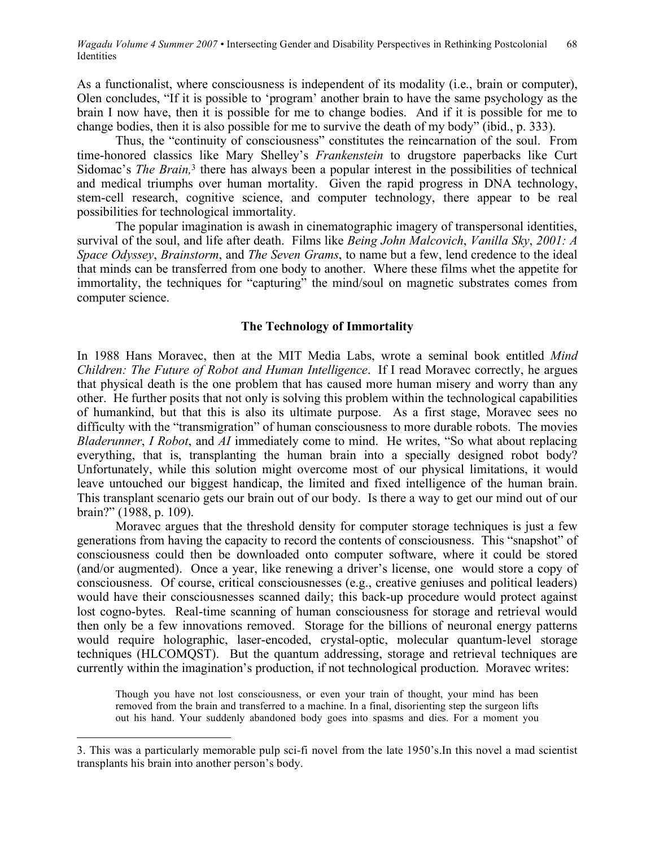As a functionalist, where consciousness is independent of its modality (i.e., brain or computer), Olen concludes, "If it is possible to 'program' another brain to have the same psychology as the brain I now have, then it is possible for me to change bodies. And if it is possible for me to change bodies, then it is also possible for me to survive the death of my body" (ibid., p. 333).

Thus, the "continuity of consciousness" constitutes the reincarnation of the soul. From time-honored classics like Mary Shelley's *Frankenstein* to drugstore paperbacks like Curt Sidomac's *The Brain,*<sup>3</sup> there has always been a popular interest in the possibilities of technical and medical triumphs over human mortality. Given the rapid progress in DNA technology, stem-cell research, cognitive science, and computer technology, there appear to be real possibilities for technological immortality.

The popular imagination is awash in cinematographic imagery of transpersonal identities, survival of the soul, and life after death. Films like *Being John Malcovich*, *Vanilla Sky*, *2001: A Space Odyssey*, *Brainstorm*, and *The Seven Grams*, to name but a few, lend credence to the ideal that minds can be transferred from one body to another. Where these films whet the appetite for immortality, the techniques for "capturing" the mind/soul on magnetic substrates comes from computer science.

#### **The Technology of Immortality**

In 1988 Hans Moravec, then at the MIT Media Labs, wrote a seminal book entitled *Mind Children: The Future of Robot and Human Intelligence*. If I read Moravec correctly, he argues that physical death is the one problem that has caused more human misery and worry than any other. He further posits that not only is solving this problem within the technological capabilities of humankind, but that this is also its ultimate purpose. As a first stage, Moravec sees no difficulty with the "transmigration" of human consciousness to more durable robots. The movies *Bladerunner*, *I Robot*, and *AI* immediately come to mind. He writes, "So what about replacing everything, that is, transplanting the human brain into a specially designed robot body? Unfortunately, while this solution might overcome most of our physical limitations, it would leave untouched our biggest handicap, the limited and fixed intelligence of the human brain. This transplant scenario gets our brain out of our body. Is there a way to get our mind out of our brain?" (1988, p. 109).

Moravec argues that the threshold density for computer storage techniques is just a few generations from having the capacity to record the contents of consciousness. This "snapshot" of consciousness could then be downloaded onto computer software, where it could be stored (and/or augmented). Once a year, like renewing a driver's license, one would store a copy of consciousness. Of course, critical consciousnesses (e.g., creative geniuses and political leaders) would have their consciousnesses scanned daily; this back-up procedure would protect against lost cogno-bytes. Real-time scanning of human consciousness for storage and retrieval would then only be a few innovations removed. Storage for the billions of neuronal energy patterns would require holographic, laser-encoded, crystal-optic, molecular quantum-level storage techniques (HLCOMQST). But the quantum addressing, storage and retrieval techniques are currently within the imagination's production, if not technological production. Moravec writes:

Though you have not lost consciousness, or even your train of thought, your mind has been removed from the brain and transferred to a machine. In a final, disorienting step the surgeon lifts out his hand. Your suddenly abandoned body goes into spasms and dies. For a moment you

<sup>3.</sup> This was a particularly memorable pulp sci-fi novel from the late 1950's.In this novel a mad scientist transplants his brain into another person's body.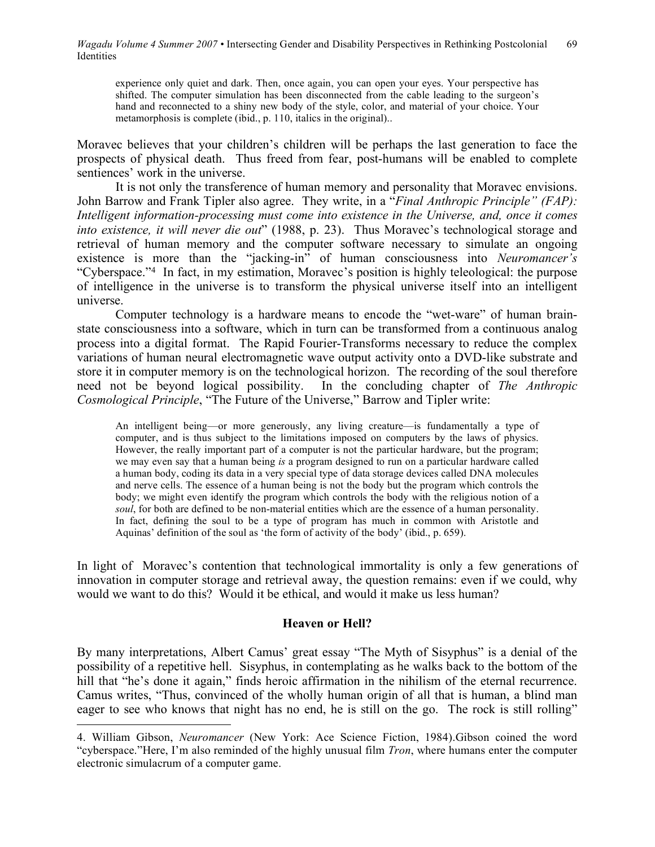experience only quiet and dark. Then, once again, you can open your eyes. Your perspective has shifted. The computer simulation has been disconnected from the cable leading to the surgeon's hand and reconnected to a shiny new body of the style, color, and material of your choice. Your metamorphosis is complete (ibid., p. 110, italics in the original)..

Moravec believes that your children's children will be perhaps the last generation to face the prospects of physical death. Thus freed from fear, post-humans will be enabled to complete sentiences' work in the universe.

It is not only the transference of human memory and personality that Moravec envisions. John Barrow and Frank Tipler also agree. They write, in a "*Final Anthropic Principle" (FAP): Intelligent information-processing must come into existence in the Universe, and, once it comes into existence, it will never die out*" (1988, p. 23). Thus Moravec's technological storage and retrieval of human memory and the computer software necessary to simulate an ongoing existence is more than the "jacking-in" of human consciousness into *Neuromancer's* "Cyberspace."4 In fact, in my estimation, Moravec's position is highly teleological: the purpose of intelligence in the universe is to transform the physical universe itself into an intelligent universe.

Computer technology is a hardware means to encode the "wet-ware" of human brainstate consciousness into a software, which in turn can be transformed from a continuous analog process into a digital format. The Rapid Fourier-Transforms necessary to reduce the complex variations of human neural electromagnetic wave output activity onto a DVD-like substrate and store it in computer memory is on the technological horizon. The recording of the soul therefore need not be beyond logical possibility. In the concluding chapter of *The Anthropic Cosmological Principle*, "The Future of the Universe," Barrow and Tipler write:

An intelligent being—or more generously, any living creature—is fundamentally a type of computer, and is thus subject to the limitations imposed on computers by the laws of physics. However, the really important part of a computer is not the particular hardware, but the program; we may even say that a human being *is* a program designed to run on a particular hardware called a human body, coding its data in a very special type of data storage devices called DNA molecules and nerve cells. The essence of a human being is not the body but the program which controls the body; we might even identify the program which controls the body with the religious notion of a *soul*, for both are defined to be non-material entities which are the essence of a human personality. In fact, defining the soul to be a type of program has much in common with Aristotle and Aquinas' definition of the soul as 'the form of activity of the body' (ibid., p. 659).

In light of Moravec's contention that technological immortality is only a few generations of innovation in computer storage and retrieval away, the question remains: even if we could, why would we want to do this? Would it be ethical, and would it make us less human?

## **Heaven or Hell?**

By many interpretations, Albert Camus' great essay "The Myth of Sisyphus" is a denial of the possibility of a repetitive hell. Sisyphus, in contemplating as he walks back to the bottom of the hill that "he's done it again," finds heroic affirmation in the nihilism of the eternal recurrence. Camus writes, "Thus, convinced of the wholly human origin of all that is human, a blind man eager to see who knows that night has no end, he is still on the go. The rock is still rolling"

<sup>4.</sup> William Gibson, *Neuromancer* (New York: Ace Science Fiction, 1984).Gibson coined the word "cyberspace."Here, I'm also reminded of the highly unusual film *Tron*, where humans enter the computer electronic simulacrum of a computer game.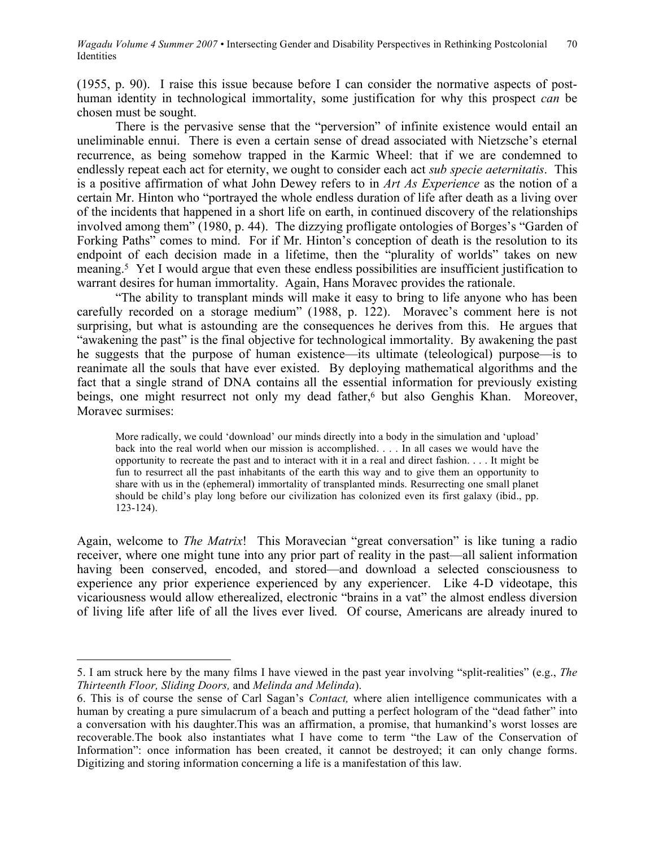(1955, p. 90). I raise this issue because before I can consider the normative aspects of posthuman identity in technological immortality, some justification for why this prospect *can* be chosen must be sought.

There is the pervasive sense that the "perversion" of infinite existence would entail an uneliminable ennui. There is even a certain sense of dread associated with Nietzsche's eternal recurrence, as being somehow trapped in the Karmic Wheel: that if we are condemned to endlessly repeat each act for eternity, we ought to consider each act *sub specie aeternitatis*. This is a positive affirmation of what John Dewey refers to in *Art As Experience* as the notion of a certain Mr. Hinton who "portrayed the whole endless duration of life after death as a living over of the incidents that happened in a short life on earth, in continued discovery of the relationships involved among them" (1980, p. 44). The dizzying profligate ontologies of Borges's "Garden of Forking Paths" comes to mind. For if Mr. Hinton's conception of death is the resolution to its endpoint of each decision made in a lifetime, then the "plurality of worlds" takes on new meaning.5 Yet I would argue that even these endless possibilities are insufficient justification to warrant desires for human immortality. Again, Hans Moravec provides the rationale.

"The ability to transplant minds will make it easy to bring to life anyone who has been carefully recorded on a storage medium" (1988, p. 122). Moravec's comment here is not surprising, but what is astounding are the consequences he derives from this. He argues that "awakening the past" is the final objective for technological immortality. By awakening the past he suggests that the purpose of human existence—its ultimate (teleological) purpose—is to reanimate all the souls that have ever existed. By deploying mathematical algorithms and the fact that a single strand of DNA contains all the essential information for previously existing beings, one might resurrect not only my dead father, <sup>6</sup> but also Genghis Khan. Moreover, Moravec surmises:

More radically, we could 'download' our minds directly into a body in the simulation and 'upload' back into the real world when our mission is accomplished. . . . In all cases we would have the opportunity to recreate the past and to interact with it in a real and direct fashion. . . . It might be fun to resurrect all the past inhabitants of the earth this way and to give them an opportunity to share with us in the (ephemeral) immortality of transplanted minds. Resurrecting one small planet should be child's play long before our civilization has colonized even its first galaxy (ibid., pp. 123-124).

Again, welcome to *The Matrix*! This Moravecian "great conversation" is like tuning a radio receiver, where one might tune into any prior part of reality in the past—all salient information having been conserved, encoded, and stored—and download a selected consciousness to experience any prior experience experienced by any experiencer. Like 4-D videotape, this vicariousness would allow etherealized, electronic "brains in a vat" the almost endless diversion of living life after life of all the lives ever lived. Of course, Americans are already inured to

<sup>5.</sup> I am struck here by the many films I have viewed in the past year involving "split-realities" (e.g., *The Thirteenth Floor, Sliding Doors,* and *Melinda and Melinda*).

<sup>6.</sup> This is of course the sense of Carl Sagan's *Contact,* where alien intelligence communicates with a human by creating a pure simulacrum of a beach and putting a perfect hologram of the "dead father" into a conversation with his daughter.This was an affirmation, a promise, that humankind's worst losses are recoverable.The book also instantiates what I have come to term "the Law of the Conservation of Information": once information has been created, it cannot be destroyed; it can only change forms. Digitizing and storing information concerning a life is a manifestation of this law.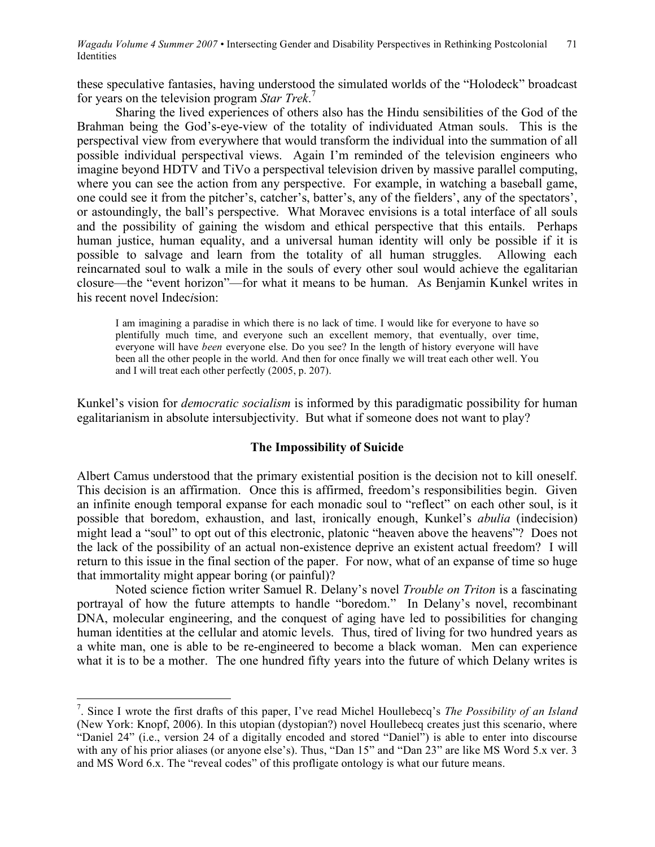these speculative fantasies, having understood the simulated worlds of the "Holodeck" broadcast for years on the television program *Star Trek*. 7

Sharing the lived experiences of others also has the Hindu sensibilities of the God of the Brahman being the God's-eye-view of the totality of individuated Atman souls. This is the perspectival view from everywhere that would transform the individual into the summation of all possible individual perspectival views. Again I'm reminded of the television engineers who imagine beyond HDTV and TiVo a perspectival television driven by massive parallel computing, where you can see the action from any perspective. For example, in watching a baseball game, one could see it from the pitcher's, catcher's, batter's, any of the fielders', any of the spectators', or astoundingly, the ball's perspective. What Moravec envisions is a total interface of all souls and the possibility of gaining the wisdom and ethical perspective that this entails. Perhaps human justice, human equality, and a universal human identity will only be possible if it is possible to salvage and learn from the totality of all human struggles. Allowing each reincarnated soul to walk a mile in the souls of every other soul would achieve the egalitarian closure—the "event horizon"—for what it means to be human. As Benjamin Kunkel writes in his recent novel Indec*i*sion:

I am imagining a paradise in which there is no lack of time. I would like for everyone to have so plentifully much time, and everyone such an excellent memory, that eventually, over time, everyone will have *been* everyone else. Do you see? In the length of history everyone will have been all the other people in the world. And then for once finally we will treat each other well. You and I will treat each other perfectly (2005, p. 207).

Kunkel's vision for *democratic socialism* is informed by this paradigmatic possibility for human egalitarianism in absolute intersubjectivity. But what if someone does not want to play?

## **The Impossibility of Suicide**

Albert Camus understood that the primary existential position is the decision not to kill oneself. This decision is an affirmation. Once this is affirmed, freedom's responsibilities begin. Given an infinite enough temporal expanse for each monadic soul to "reflect" on each other soul, is it possible that boredom, exhaustion, and last, ironically enough, Kunkel's *abulia* (indecision) might lead a "soul" to opt out of this electronic, platonic "heaven above the heavens"? Does not the lack of the possibility of an actual non-existence deprive an existent actual freedom? I will return to this issue in the final section of the paper. For now, what of an expanse of time so huge that immortality might appear boring (or painful)?

Noted science fiction writer Samuel R. Delany's novel *Trouble on Triton* is a fascinating portrayal of how the future attempts to handle "boredom." In Delany's novel, recombinant DNA, molecular engineering, and the conquest of aging have led to possibilities for changing human identities at the cellular and atomic levels. Thus, tired of living for two hundred years as a white man, one is able to be re-engineered to become a black woman. Men can experience what it is to be a mother. The one hundred fifty years into the future of which Delany writes is

<sup>&</sup>lt;sup>-</sup>7 . Since I wrote the first drafts of this paper, I've read Michel Houllebecq's *The Possibility of an Island* (New York: Knopf, 2006). In this utopian (dystopian?) novel Houllebecq creates just this scenario, where "Daniel 24" (i.e., version 24 of a digitally encoded and stored "Daniel") is able to enter into discourse with any of his prior aliases (or anyone else's). Thus, "Dan 15" and "Dan 23" are like MS Word 5.x ver. 3 and MS Word 6.x. The "reveal codes" of this profligate ontology is what our future means.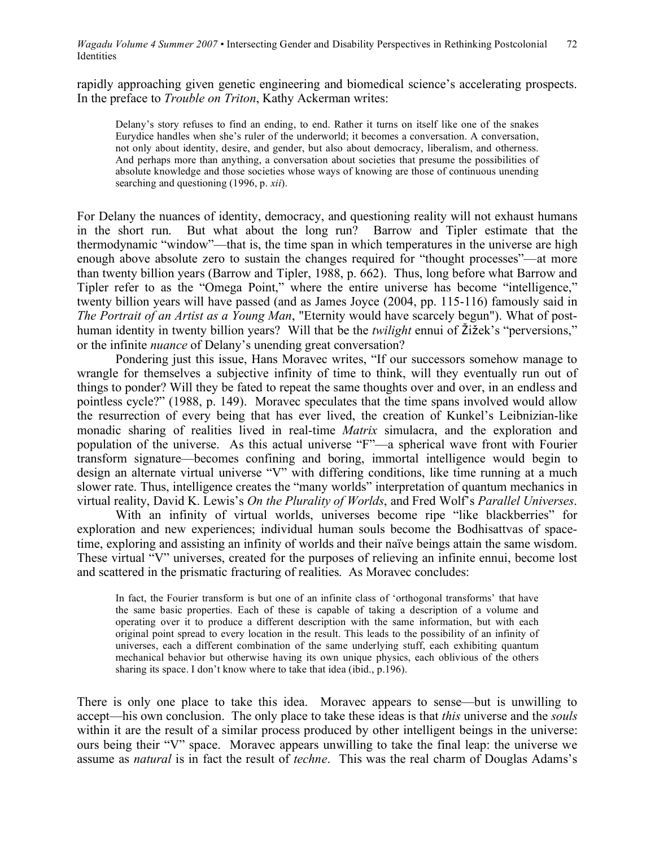rapidly approaching given genetic engineering and biomedical science's accelerating prospects. In the preface to *Trouble on Triton*, Kathy Ackerman writes:

Delany's story refuses to find an ending, to end. Rather it turns on itself like one of the snakes Eurydice handles when she's ruler of the underworld; it becomes a conversation. A conversation, not only about identity, desire, and gender, but also about democracy, liberalism, and otherness. And perhaps more than anything, a conversation about societies that presume the possibilities of absolute knowledge and those societies whose ways of knowing are those of continuous unending searching and questioning (1996, p. *xii*).

For Delany the nuances of identity, democracy, and questioning reality will not exhaust humans in the short run. But what about the long run? Barrow and Tipler estimate that the thermodynamic "window"—that is, the time span in which temperatures in the universe are high enough above absolute zero to sustain the changes required for "thought processes"—at more than twenty billion years (Barrow and Tipler, 1988, p. 662). Thus, long before what Barrow and Tipler refer to as the "Omega Point," where the entire universe has become "intelligence," twenty billion years will have passed (and as James Joyce (2004, pp. 115-116) famously said in *The Portrait of an Artist as a Young Man*, "Eternity would have scarcely begun"). What of posthuman identity in twenty billion years? Will that be the *twilight* ennui of Žižek's "perversions," or the infinite *nuance* of Delany's unending great conversation?

Pondering just this issue, Hans Moravec writes, "If our successors somehow manage to wrangle for themselves a subjective infinity of time to think, will they eventually run out of things to ponder? Will they be fated to repeat the same thoughts over and over, in an endless and pointless cycle?" (1988, p. 149). Moravec speculates that the time spans involved would allow the resurrection of every being that has ever lived, the creation of Kunkel's Leibnizian-like monadic sharing of realities lived in real-time *Matrix* simulacra, and the exploration and population of the universe. As this actual universe "F"—a spherical wave front with Fourier transform signature—becomes confining and boring, immortal intelligence would begin to design an alternate virtual universe "V" with differing conditions, like time running at a much slower rate. Thus, intelligence creates the "many worlds" interpretation of quantum mechanics in virtual reality, David K. Lewis's *On the Plurality of Worlds*, and Fred Wolf's *Parallel Universes*.

With an infinity of virtual worlds, universes become ripe "like blackberries" for exploration and new experiences; individual human souls become the Bodhisattvas of spacetime, exploring and assisting an infinity of worlds and their naïve beings attain the same wisdom. These virtual "V" universes, created for the purposes of relieving an infinite ennui, become lost and scattered in the prismatic fracturing of realities. As Moravec concludes:

In fact, the Fourier transform is but one of an infinite class of 'orthogonal transforms' that have the same basic properties. Each of these is capable of taking a description of a volume and operating over it to produce a different description with the same information, but with each original point spread to every location in the result. This leads to the possibility of an infinity of universes, each a different combination of the same underlying stuff, each exhibiting quantum mechanical behavior but otherwise having its own unique physics, each oblivious of the others sharing its space. I don't know where to take that idea (ibid., p.196).

There is only one place to take this idea. Moravec appears to sense—but is unwilling to accept—his own conclusion. The only place to take these ideas is that *this* universe and the *souls* within it are the result of a similar process produced by other intelligent beings in the universe: ours being their "V" space. Moravec appears unwilling to take the final leap: the universe we assume as *natural* is in fact the result of *techne*. This was the real charm of Douglas Adams's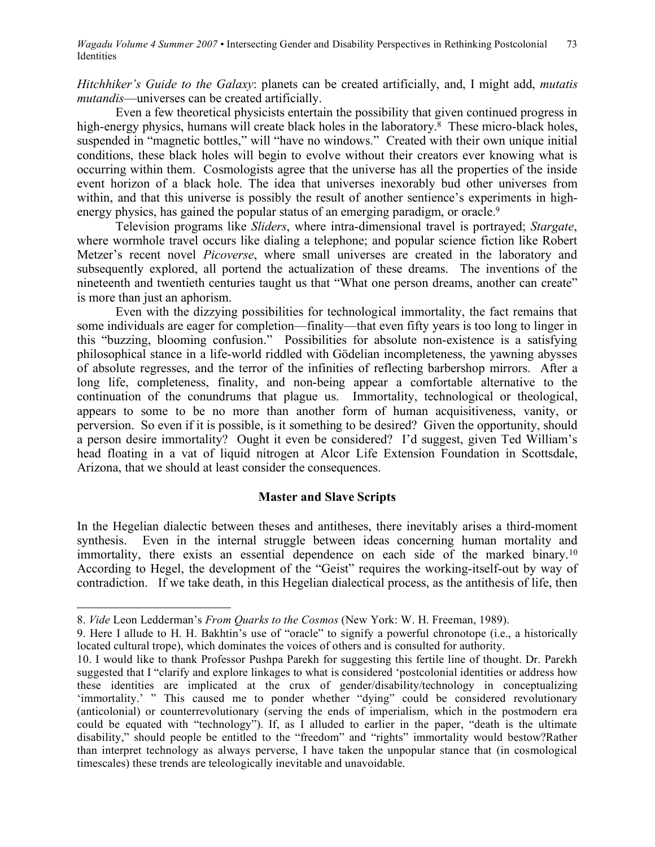*Hitchhiker's Guide to the Galaxy*: planets can be created artificially, and, I might add, *mutatis mutandis*—universes can be created artificially.

Even a few theoretical physicists entertain the possibility that given continued progress in high-energy physics, humans will create black holes in the laboratory.<sup>8</sup> These micro-black holes, suspended in "magnetic bottles," will "have no windows." Created with their own unique initial conditions, these black holes will begin to evolve without their creators ever knowing what is occurring within them. Cosmologists agree that the universe has all the properties of the inside event horizon of a black hole. The idea that universes inexorably bud other universes from within, and that this universe is possibly the result of another sentience's experiments in highenergy physics, has gained the popular status of an emerging paradigm, or oracle.<sup>9</sup>

Television programs like *Sliders*, where intra-dimensional travel is portrayed; *Stargate*, where wormhole travel occurs like dialing a telephone; and popular science fiction like Robert Metzer's recent novel *Picoverse*, where small universes are created in the laboratory and subsequently explored, all portend the actualization of these dreams. The inventions of the nineteenth and twentieth centuries taught us that "What one person dreams, another can create" is more than just an aphorism.

Even with the dizzying possibilities for technological immortality, the fact remains that some individuals are eager for completion—finality—that even fifty years is too long to linger in this "buzzing, blooming confusion." Possibilities for absolute non-existence is a satisfying philosophical stance in a life-world riddled with Gödelian incompleteness, the yawning abysses of absolute regresses, and the terror of the infinities of reflecting barbershop mirrors. After a long life, completeness, finality, and non-being appear a comfortable alternative to the continuation of the conundrums that plague us. Immortality, technological or theological, appears to some to be no more than another form of human acquisitiveness, vanity, or perversion. So even if it is possible, is it something to be desired? Given the opportunity, should a person desire immortality? Ought it even be considered? I'd suggest, given Ted William's head floating in a vat of liquid nitrogen at Alcor Life Extension Foundation in Scottsdale, Arizona, that we should at least consider the consequences.

## **Master and Slave Scripts**

In the Hegelian dialectic between theses and antitheses, there inevitably arises a third-moment synthesis. Even in the internal struggle between ideas concerning human mortality and immortality, there exists an essential dependence on each side of the marked binary.10 According to Hegel, the development of the "Geist" requires the working-itself-out by way of contradiction. If we take death, in this Hegelian dialectical process, as the antithesis of life, then

<sup>8.</sup> *Vide* Leon Ledderman's *From Quarks to the Cosmos* (New York: W. H. Freeman, 1989).

<sup>9.</sup> Here I allude to H. H. Bakhtin's use of "oracle" to signify a powerful chronotope (i.e., a historically located cultural trope), which dominates the voices of others and is consulted for authority.

<sup>10.</sup> I would like to thank Professor Pushpa Parekh for suggesting this fertile line of thought. Dr. Parekh suggested that I "clarify and explore linkages to what is considered 'postcolonial identities or address how these identities are implicated at the crux of gender/disability/technology in conceptualizing 'immortality.' " This caused me to ponder whether "dying" could be considered revolutionary (anticolonial) or counterrevolutionary (serving the ends of imperialism, which in the postmodern era could be equated with "technology"). If, as I alluded to earlier in the paper, "death is the ultimate disability," should people be entitled to the "freedom" and "rights" immortality would bestow?Rather than interpret technology as always perverse, I have taken the unpopular stance that (in cosmological timescales) these trends are teleologically inevitable and unavoidable.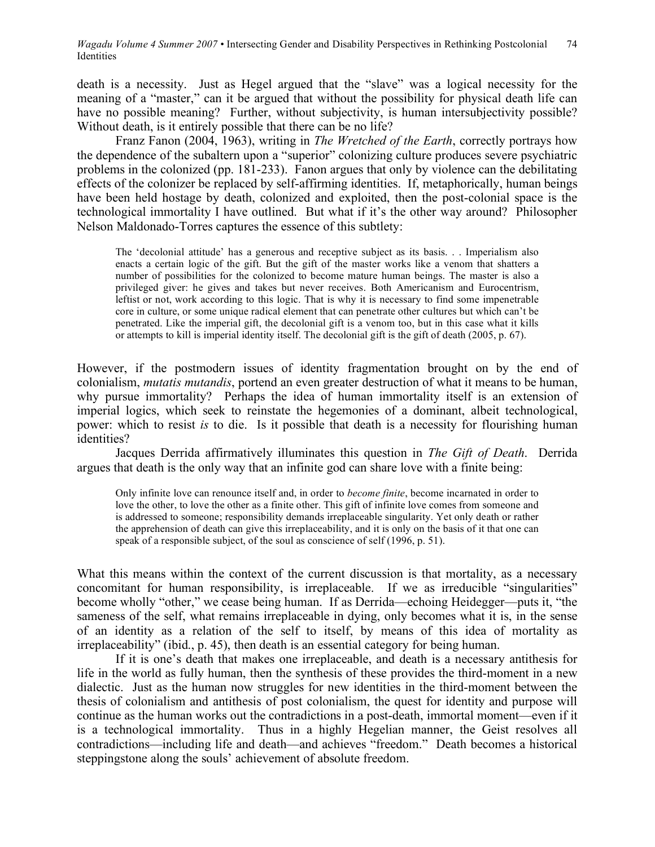death is a necessity. Just as Hegel argued that the "slave" was a logical necessity for the meaning of a "master," can it be argued that without the possibility for physical death life can have no possible meaning? Further, without subjectivity, is human intersubjectivity possible? Without death, is it entirely possible that there can be no life?

Franz Fanon (2004, 1963), writing in *The Wretched of the Earth*, correctly portrays how the dependence of the subaltern upon a "superior" colonizing culture produces severe psychiatric problems in the colonized (pp. 181-233). Fanon argues that only by violence can the debilitating effects of the colonizer be replaced by self-affirming identities. If, metaphorically, human beings have been held hostage by death, colonized and exploited, then the post-colonial space is the technological immortality I have outlined. But what if it's the other way around? Philosopher Nelson Maldonado-Torres captures the essence of this subtlety:

The 'decolonial attitude' has a generous and receptive subject as its basis. . . Imperialism also enacts a certain logic of the gift. But the gift of the master works like a venom that shatters a number of possibilities for the colonized to become mature human beings. The master is also a privileged giver: he gives and takes but never receives. Both Americanism and Eurocentrism, leftist or not, work according to this logic. That is why it is necessary to find some impenetrable core in culture, or some unique radical element that can penetrate other cultures but which can't be penetrated. Like the imperial gift, the decolonial gift is a venom too, but in this case what it kills or attempts to kill is imperial identity itself. The decolonial gift is the gift of death (2005, p. 67).

However, if the postmodern issues of identity fragmentation brought on by the end of colonialism, *mutatis mutandis*, portend an even greater destruction of what it means to be human, why pursue immortality? Perhaps the idea of human immortality itself is an extension of imperial logics, which seek to reinstate the hegemonies of a dominant, albeit technological, power: which to resist *is* to die. Is it possible that death is a necessity for flourishing human identities?

Jacques Derrida affirmatively illuminates this question in *The Gift of Death*. Derrida argues that death is the only way that an infinite god can share love with a finite being:

Only infinite love can renounce itself and, in order to *become finite*, become incarnated in order to love the other, to love the other as a finite other. This gift of infinite love comes from someone and is addressed to someone; responsibility demands irreplaceable singularity. Yet only death or rather the apprehension of death can give this irreplaceability, and it is only on the basis of it that one can speak of a responsible subject, of the soul as conscience of self (1996, p. 51).

What this means within the context of the current discussion is that mortality, as a necessary concomitant for human responsibility, is irreplaceable. If we as irreducible "singularities" become wholly "other," we cease being human. If as Derrida—echoing Heidegger—puts it, "the sameness of the self, what remains irreplaceable in dying, only becomes what it is, in the sense of an identity as a relation of the self to itself, by means of this idea of mortality as irreplaceability" (ibid., p. 45), then death is an essential category for being human.

If it is one's death that makes one irreplaceable, and death is a necessary antithesis for life in the world as fully human, then the synthesis of these provides the third-moment in a new dialectic. Just as the human now struggles for new identities in the third-moment between the thesis of colonialism and antithesis of post colonialism, the quest for identity and purpose will continue as the human works out the contradictions in a post-death, immortal moment—even if it is a technological immortality. Thus in a highly Hegelian manner, the Geist resolves all contradictions—including life and death—and achieves "freedom." Death becomes a historical steppingstone along the souls' achievement of absolute freedom.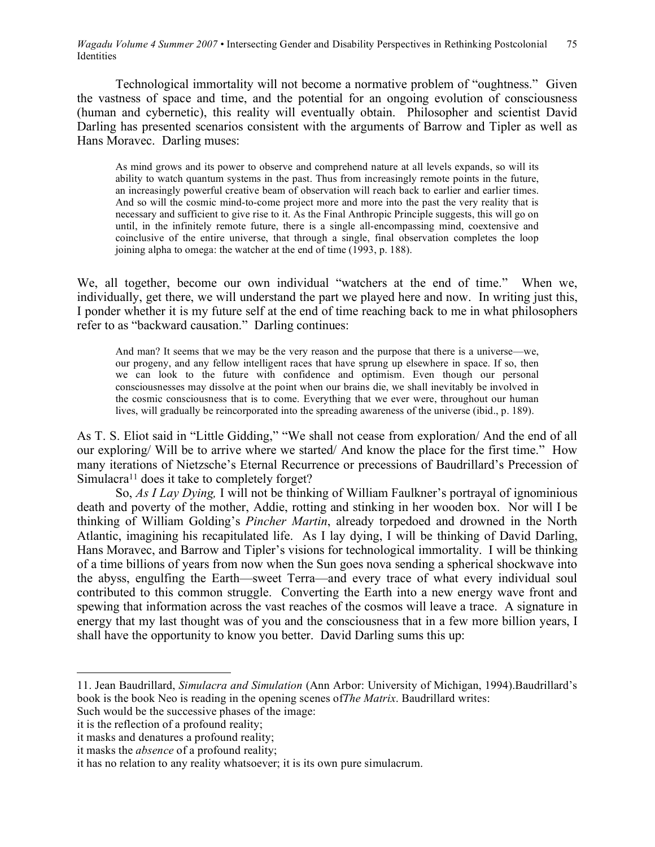Technological immortality will not become a normative problem of "oughtness." Given the vastness of space and time, and the potential for an ongoing evolution of consciousness (human and cybernetic), this reality will eventually obtain. Philosopher and scientist David Darling has presented scenarios consistent with the arguments of Barrow and Tipler as well as Hans Moravec. Darling muses:

As mind grows and its power to observe and comprehend nature at all levels expands, so will its ability to watch quantum systems in the past. Thus from increasingly remote points in the future, an increasingly powerful creative beam of observation will reach back to earlier and earlier times. And so will the cosmic mind-to-come project more and more into the past the very reality that is necessary and sufficient to give rise to it. As the Final Anthropic Principle suggests, this will go on until, in the infinitely remote future, there is a single all-encompassing mind, coextensive and coinclusive of the entire universe, that through a single, final observation completes the loop joining alpha to omega: the watcher at the end of time (1993, p. 188).

We, all together, become our own individual "watchers at the end of time." When we, individually, get there, we will understand the part we played here and now. In writing just this, I ponder whether it is my future self at the end of time reaching back to me in what philosophers refer to as "backward causation." Darling continues:

And man? It seems that we may be the very reason and the purpose that there is a universe—we, our progeny, and any fellow intelligent races that have sprung up elsewhere in space. If so, then we can look to the future with confidence and optimism. Even though our personal consciousnesses may dissolve at the point when our brains die, we shall inevitably be involved in the cosmic consciousness that is to come. Everything that we ever were, throughout our human lives, will gradually be reincorporated into the spreading awareness of the universe (ibid., p. 189).

As T. S. Eliot said in "Little Gidding," "We shall not cease from exploration/ And the end of all our exploring/ Will be to arrive where we started/ And know the place for the first time." How many iterations of Nietzsche's Eternal Recurrence or precessions of Baudrillard's Precession of Simulacra<sup>11</sup> does it take to completely forget?

So, *As I Lay Dying,* I will not be thinking of William Faulkner's portrayal of ignominious death and poverty of the mother, Addie, rotting and stinking in her wooden box. Nor will I be thinking of William Golding's *Pincher Martin*, already torpedoed and drowned in the North Atlantic, imagining his recapitulated life. As I lay dying, I will be thinking of David Darling, Hans Moravec, and Barrow and Tipler's visions for technological immortality. I will be thinking of a time billions of years from now when the Sun goes nova sending a spherical shockwave into the abyss, engulfing the Earth—sweet Terra—and every trace of what every individual soul contributed to this common struggle. Converting the Earth into a new energy wave front and spewing that information across the vast reaches of the cosmos will leave a trace. A signature in energy that my last thought was of you and the consciousness that in a few more billion years, I shall have the opportunity to know you better. David Darling sums this up:

<sup>11.</sup> Jean Baudrillard, *Simulacra and Simulation* (Ann Arbor: University of Michigan, 1994).Baudrillard's book is the book Neo is reading in the opening scenes of*The Matrix*. Baudrillard writes:

Such would be the successive phases of the image:

it is the reflection of a profound reality;

it masks and denatures a profound reality;

it masks the *absence* of a profound reality;

it has no relation to any reality whatsoever; it is its own pure simulacrum.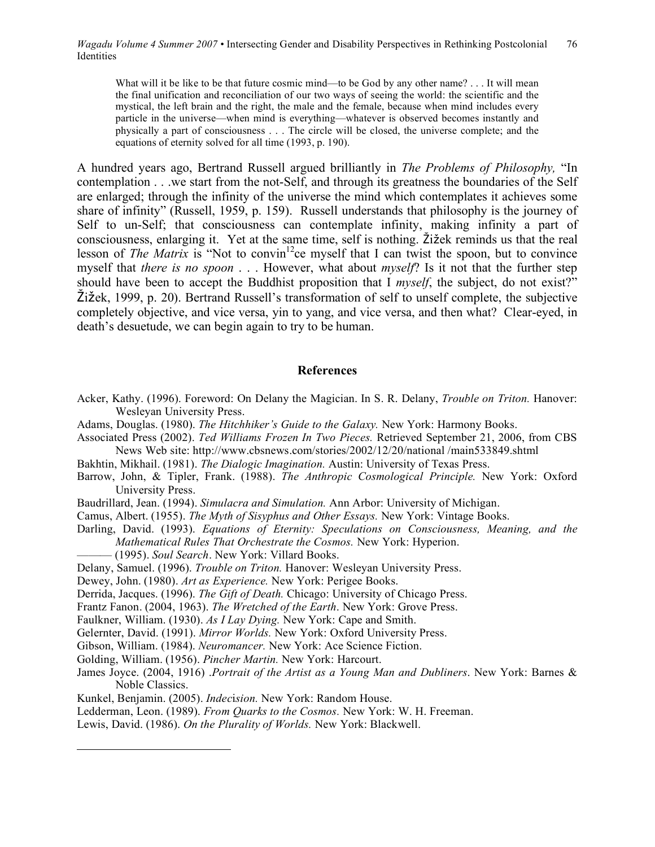What will it be like to be that future cosmic mind—to be God by any other name? . . . It will mean the final unification and reconciliation of our two ways of seeing the world: the scientific and the mystical, the left brain and the right, the male and the female, because when mind includes every particle in the universe—when mind is everything—whatever is observed becomes instantly and physically a part of consciousness . . . The circle will be closed, the universe complete; and the equations of eternity solved for all time (1993, p. 190).

A hundred years ago, Bertrand Russell argued brilliantly in *The Problems of Philosophy,* "In contemplation . . .we start from the not-Self, and through its greatness the boundaries of the Self are enlarged; through the infinity of the universe the mind which contemplates it achieves some share of infinity" (Russell, 1959, p. 159). Russell understands that philosophy is the journey of Self to un-Self; that consciousness can contemplate infinity, making infinity a part of consciousness, enlarging it. Yet at the same time, self is nothing. Žižek reminds us that the real lesson of *The Matrix* is "Not to convin<sup>12</sup>ce myself that I can twist the spoon, but to convince myself that *there is no spoon* . . . However, what about *myself*? Is it not that the further step should have been to accept the Buddhist proposition that I *myself*, the subject, do not exist?" Žižek, 1999, p. 20). Bertrand Russell's transformation of self to unself complete, the subjective completely objective, and vice versa, yin to yang, and vice versa, and then what? Clear-eyed, in death's desuetude, we can begin again to try to be human.

## **References**

- Acker, Kathy. (1996). Foreword: On Delany the Magician. In S. R. Delany, *Trouble on Triton.* Hanover: Wesleyan University Press.
- Adams, Douglas. (1980). *The Hitchhiker's Guide to the Galaxy.* New York: Harmony Books.
- Associated Press (2002). *Ted Williams Frozen In Two Pieces.* Retrieved September 21, 2006, from CBS News Web site: http://www.cbsnews.com/stories/2002/12/20/national /main533849.shtml
- Bakhtin, Mikhail. (1981). *The Dialogic Imagination.* Austin: University of Texas Press.
- Barrow, John, & Tipler, Frank. (1988). *The Anthropic Cosmological Principle.* New York: Oxford University Press.
- Baudrillard, Jean. (1994). *Simulacra and Simulation.* Ann Arbor: University of Michigan.
- Camus, Albert. (1955). *The Myth of Sisyphus and Other Essays.* New York: Vintage Books.
- Darling, David. (1993). *Equations of Eternity: Speculations on Consciousness, Meaning, and the Mathematical Rules That Orchestrate the Cosmos.* New York: Hyperion.
	- ——— (1995). *Soul Search*. New York: Villard Books.
- Delany, Samuel. (1996). *Trouble on Triton.* Hanover: Wesleyan University Press.
- Dewey, John. (1980). *Art as Experience.* New York: Perigee Books.
- Derrida, Jacques. (1996). *The Gift of Death.* Chicago: University of Chicago Press.
- Frantz Fanon. (2004, 1963). *The Wretched of the Earth*. New York: Grove Press.
- Faulkner, William. (1930). *As I Lay Dying.* New York: Cape and Smith.
- Gelernter, David. (1991). *Mirror Worlds.* New York: Oxford University Press.
- Gibson, William. (1984). *Neuromancer.* New York: Ace Science Fiction.
- Golding, William. (1956). *Pincher Martin.* New York: Harcourt.
- James Joyce. (2004, 1916) .*Portrait of the Artist as a Young Man and Dubliners*. New York: Barnes & Noble Classics.
- Kunkel, Benjamin. (2005). *Indec*i*sion.* New York: Random House.

- Ledderman, Leon. (1989). *From Quarks to the Cosmos.* New York: W. H. Freeman.
- Lewis, David. (1986). *On the Plurality of Worlds.* New York: Blackwell.